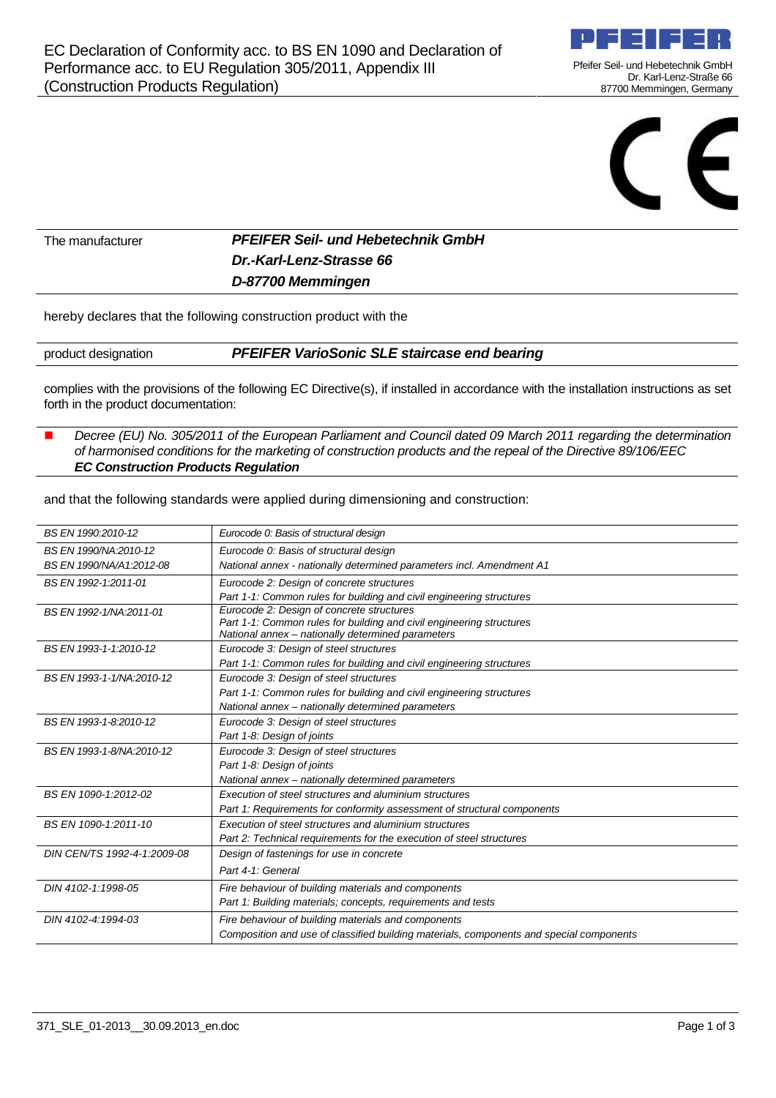

Pfeifer Seil- und Hebetechnik GmbH Dr. Karl-Lenz-Straße 66 87700 Memmingen, Germany



The manufacturer **PFEIFER Seil- und Hebetechnik GmbH Dr.-Karl-Lenz-Strasse 66 D-87700 Memmingen**

hereby declares that the following construction product with the

product designation **PFEIFER VarioSonic SLE staircase end bearing**

complies with the provisions of the following EC Directive(s), if installed in accordance with the installation instructions as set forth in the product documentation:

#### Decree (EU) No. 305/2011 of the European Parliament and Council dated 09 March 2011 regarding the determination of harmonised conditions for the marketing of construction products and the repeal of the Directive 89/106/EEC **EC Construction Products Regulation**

and that the following standards were applied during dimensioning and construction:

| BS EN 1990/NA:2010-12<br>Eurocode 0: Basis of structural design<br>National annex - nationally determined parameters incl. Amendment A1<br>BS EN 1990/NA/A1:2012-08<br>BS EN 1992-1:2011-01<br>Eurocode 2: Design of concrete structures<br>Part 1-1: Common rules for building and civil engineering structures<br>Eurocode 2: Design of concrete structures<br>BS EN 1992-1/NA:2011-01<br>Part 1-1: Common rules for building and civil engineering structures<br>National annex - nationally determined parameters<br>Eurocode 3: Design of steel structures<br>BS EN 1993-1-1:2010-12<br>Part 1-1: Common rules for building and civil engineering structures<br>BS EN 1993-1-1/NA:2010-12<br>Eurocode 3: Design of steel structures<br>Part 1-1: Common rules for building and civil engineering structures<br>National annex - nationally determined parameters<br>BS EN 1993-1-8.2010-12<br>Eurocode 3: Design of steel structures<br>Part 1-8: Design of joints<br>BS EN 1993-1-8/NA:2010-12<br>Eurocode 3: Design of steel structures<br>Part 1-8: Design of joints<br>National annex - nationally determined parameters<br>BS EN 1090-1:2012-02<br>Execution of steel structures and aluminium structures | BS EN 1990:2010-12 | Eurocode 0: Basis of structural design |
|---------------------------------------------------------------------------------------------------------------------------------------------------------------------------------------------------------------------------------------------------------------------------------------------------------------------------------------------------------------------------------------------------------------------------------------------------------------------------------------------------------------------------------------------------------------------------------------------------------------------------------------------------------------------------------------------------------------------------------------------------------------------------------------------------------------------------------------------------------------------------------------------------------------------------------------------------------------------------------------------------------------------------------------------------------------------------------------------------------------------------------------------------------------------------------------------------------------------|--------------------|----------------------------------------|
|                                                                                                                                                                                                                                                                                                                                                                                                                                                                                                                                                                                                                                                                                                                                                                                                                                                                                                                                                                                                                                                                                                                                                                                                                     |                    |                                        |
|                                                                                                                                                                                                                                                                                                                                                                                                                                                                                                                                                                                                                                                                                                                                                                                                                                                                                                                                                                                                                                                                                                                                                                                                                     |                    |                                        |
|                                                                                                                                                                                                                                                                                                                                                                                                                                                                                                                                                                                                                                                                                                                                                                                                                                                                                                                                                                                                                                                                                                                                                                                                                     |                    |                                        |
|                                                                                                                                                                                                                                                                                                                                                                                                                                                                                                                                                                                                                                                                                                                                                                                                                                                                                                                                                                                                                                                                                                                                                                                                                     |                    |                                        |
|                                                                                                                                                                                                                                                                                                                                                                                                                                                                                                                                                                                                                                                                                                                                                                                                                                                                                                                                                                                                                                                                                                                                                                                                                     |                    |                                        |
|                                                                                                                                                                                                                                                                                                                                                                                                                                                                                                                                                                                                                                                                                                                                                                                                                                                                                                                                                                                                                                                                                                                                                                                                                     |                    |                                        |
|                                                                                                                                                                                                                                                                                                                                                                                                                                                                                                                                                                                                                                                                                                                                                                                                                                                                                                                                                                                                                                                                                                                                                                                                                     |                    |                                        |
|                                                                                                                                                                                                                                                                                                                                                                                                                                                                                                                                                                                                                                                                                                                                                                                                                                                                                                                                                                                                                                                                                                                                                                                                                     |                    |                                        |
|                                                                                                                                                                                                                                                                                                                                                                                                                                                                                                                                                                                                                                                                                                                                                                                                                                                                                                                                                                                                                                                                                                                                                                                                                     |                    |                                        |
|                                                                                                                                                                                                                                                                                                                                                                                                                                                                                                                                                                                                                                                                                                                                                                                                                                                                                                                                                                                                                                                                                                                                                                                                                     |                    |                                        |
|                                                                                                                                                                                                                                                                                                                                                                                                                                                                                                                                                                                                                                                                                                                                                                                                                                                                                                                                                                                                                                                                                                                                                                                                                     |                    |                                        |
|                                                                                                                                                                                                                                                                                                                                                                                                                                                                                                                                                                                                                                                                                                                                                                                                                                                                                                                                                                                                                                                                                                                                                                                                                     |                    |                                        |
|                                                                                                                                                                                                                                                                                                                                                                                                                                                                                                                                                                                                                                                                                                                                                                                                                                                                                                                                                                                                                                                                                                                                                                                                                     |                    |                                        |
|                                                                                                                                                                                                                                                                                                                                                                                                                                                                                                                                                                                                                                                                                                                                                                                                                                                                                                                                                                                                                                                                                                                                                                                                                     |                    |                                        |
|                                                                                                                                                                                                                                                                                                                                                                                                                                                                                                                                                                                                                                                                                                                                                                                                                                                                                                                                                                                                                                                                                                                                                                                                                     |                    |                                        |
|                                                                                                                                                                                                                                                                                                                                                                                                                                                                                                                                                                                                                                                                                                                                                                                                                                                                                                                                                                                                                                                                                                                                                                                                                     |                    |                                        |
|                                                                                                                                                                                                                                                                                                                                                                                                                                                                                                                                                                                                                                                                                                                                                                                                                                                                                                                                                                                                                                                                                                                                                                                                                     |                    |                                        |
| Part 1: Requirements for conformity assessment of structural components                                                                                                                                                                                                                                                                                                                                                                                                                                                                                                                                                                                                                                                                                                                                                                                                                                                                                                                                                                                                                                                                                                                                             |                    |                                        |
| Execution of steel structures and aluminium structures<br>BS EN 1090-1:2011-10                                                                                                                                                                                                                                                                                                                                                                                                                                                                                                                                                                                                                                                                                                                                                                                                                                                                                                                                                                                                                                                                                                                                      |                    |                                        |
| Part 2: Technical requirements for the execution of steel structures                                                                                                                                                                                                                                                                                                                                                                                                                                                                                                                                                                                                                                                                                                                                                                                                                                                                                                                                                                                                                                                                                                                                                |                    |                                        |
| DIN CEN/TS 1992-4-1:2009-08<br>Design of fastenings for use in concrete                                                                                                                                                                                                                                                                                                                                                                                                                                                                                                                                                                                                                                                                                                                                                                                                                                                                                                                                                                                                                                                                                                                                             |                    |                                        |
| Part 4-1: General                                                                                                                                                                                                                                                                                                                                                                                                                                                                                                                                                                                                                                                                                                                                                                                                                                                                                                                                                                                                                                                                                                                                                                                                   |                    |                                        |
| Fire behaviour of building materials and components<br>DIN 4102-1:1998-05                                                                                                                                                                                                                                                                                                                                                                                                                                                                                                                                                                                                                                                                                                                                                                                                                                                                                                                                                                                                                                                                                                                                           |                    |                                        |
| Part 1: Building materials; concepts, requirements and tests                                                                                                                                                                                                                                                                                                                                                                                                                                                                                                                                                                                                                                                                                                                                                                                                                                                                                                                                                                                                                                                                                                                                                        |                    |                                        |
| Fire behaviour of building materials and components<br>DIN 4102-4:1994-03                                                                                                                                                                                                                                                                                                                                                                                                                                                                                                                                                                                                                                                                                                                                                                                                                                                                                                                                                                                                                                                                                                                                           |                    |                                        |
| Composition and use of classified building materials, components and special components                                                                                                                                                                                                                                                                                                                                                                                                                                                                                                                                                                                                                                                                                                                                                                                                                                                                                                                                                                                                                                                                                                                             |                    |                                        |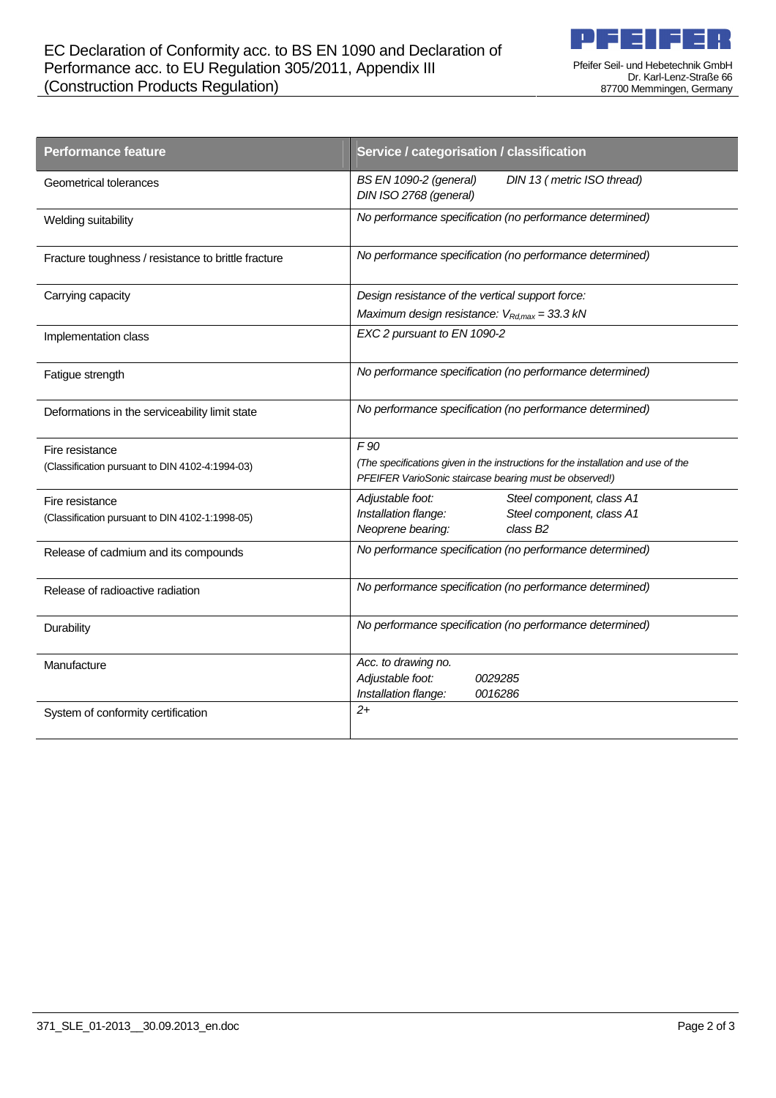

Pfeifer Seil- und Hebetechnik GmbH Dr. Karl-Lenz-Straße 66 87700 Memmingen, Germany

| <b>Performance feature</b>                          | Service / categorisation / classification                                                                                                    |
|-----------------------------------------------------|----------------------------------------------------------------------------------------------------------------------------------------------|
| Geometrical tolerances                              | BS EN 1090-2 (general)<br>DIN 13 (metric ISO thread)<br>DIN ISO 2768 (general)                                                               |
| Welding suitability                                 | No performance specification (no performance determined)                                                                                     |
| Fracture toughness / resistance to brittle fracture | No performance specification (no performance determined)                                                                                     |
| Carrying capacity                                   | Design resistance of the vertical support force:                                                                                             |
|                                                     | Maximum design resistance: $V_{Rd, max} = 33.3 kN$                                                                                           |
| Implementation class                                | EXC 2 pursuant to EN 1090-2                                                                                                                  |
| Fatigue strength                                    | No performance specification (no performance determined)                                                                                     |
| Deformations in the serviceability limit state      | No performance specification (no performance determined)                                                                                     |
| Fire resistance                                     | F90                                                                                                                                          |
| (Classification pursuant to DIN 4102-4:1994-03)     | (The specifications given in the instructions for the installation and use of the<br>PFEIFER VarioSonic staircase bearing must be observed!) |
| Fire resistance                                     | Steel component, class A1<br>Adjustable foot:                                                                                                |
| (Classification pursuant to DIN 4102-1:1998-05)     | Installation flange:<br>Steel component, class A1<br>Neoprene bearing:<br>class B <sub>2</sub>                                               |
| Release of cadmium and its compounds                | No performance specification (no performance determined)                                                                                     |
| Release of radioactive radiation                    | No performance specification (no performance determined)                                                                                     |
| Durability                                          | No performance specification (no performance determined)                                                                                     |
| Manufacture                                         | Acc. to drawing no.                                                                                                                          |
|                                                     | Adjustable foot:<br>0029285                                                                                                                  |
|                                                     | Installation flange:<br>0016286<br>$2+$                                                                                                      |
| System of conformity certification                  |                                                                                                                                              |